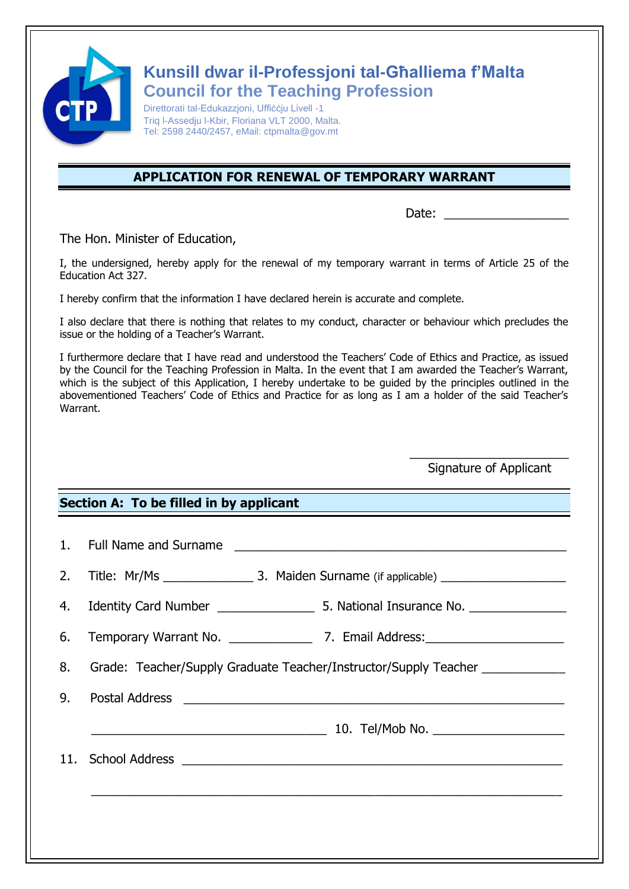

## **Kunsill dwar il-Professjoni tal-Għalliema f'Malta Council for the Teaching Profession**

Direttorati tal-Edukazzjoni, Uffiċċju Livell -1 Triq l-Assedju l-Kbir, Floriana VLT 2000, Malta. Tel: 2598 2440/2457, eMail: ctpmalta@gov.mt

## **APPLICATION FOR RENEWAL OF TEMPORARY WARRANT**

Date:

The Hon. Minister of Education,

I, the undersigned, hereby apply for the renewal of my temporary warrant in terms of Article 25 of the Education Act 327.

I hereby confirm that the information I have declared herein is accurate and complete.

I also declare that there is nothing that relates to my conduct, character or behaviour which precludes the issue or the holding of a Teacher's Warrant.

I furthermore declare that I have read and understood the Teachers' Code of Ethics and Practice, as issued by the Council for the Teaching Profession in Malta. In the event that I am awarded the Teacher's Warrant, which is the subject of this Application, I hereby undertake to be guided by the principles outlined in the abovementioned Teachers' Code of Ethics and Practice for as long as I am a holder of the said Teacher's Warrant.

> $\overline{\phantom{a}}$  , which is a set of the set of the set of the set of the set of the set of the set of the set of the set of the set of the set of the set of the set of the set of the set of the set of the set of the set of th Signature of Applicant

## **Section A: To be filled in by applicant**

|    | 1. Full Name and Surname<br><u> 1989 - Johann Storm, mars and de Branch and de Branch and de Branch and de Branch and de Branch and de Branch</u> |
|----|---------------------------------------------------------------------------------------------------------------------------------------------------|
| 2. |                                                                                                                                                   |
|    |                                                                                                                                                   |
| 6. |                                                                                                                                                   |
| 8. | Grade: Teacher/Supply Graduate Teacher/Instructor/Supply Teacher                                                                                  |
| 9. |                                                                                                                                                   |
|    |                                                                                                                                                   |
|    |                                                                                                                                                   |
|    |                                                                                                                                                   |
|    |                                                                                                                                                   |
|    |                                                                                                                                                   |